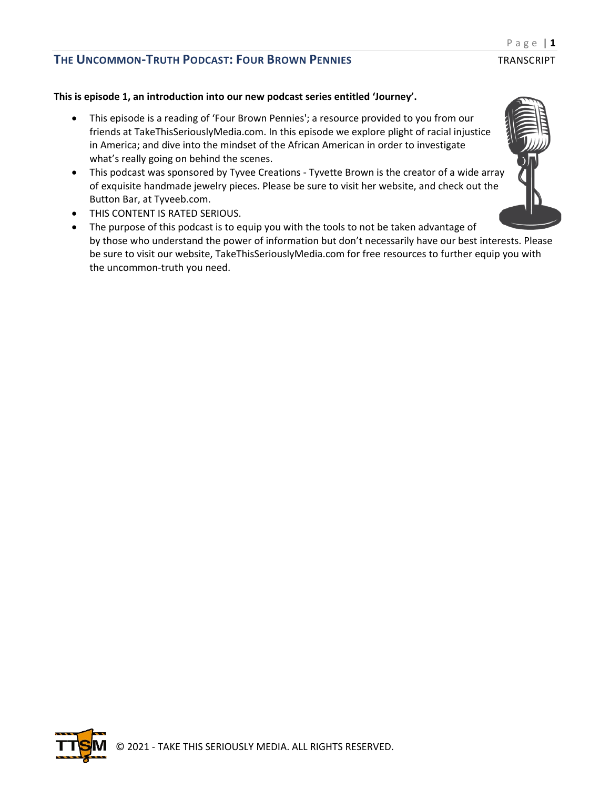### **This is episode 1, an introduction into our new podcast series entitled 'Journey'.**

- This episode is a reading of 'Four Brown Pennies'; a resource provided to you from our friends at TakeThisSeriouslyMedia.com. In this episode we explore plight of racial injustice in America; and dive into the mindset of the African American in order to investigate what's really going on behind the scenes.
- This podcast was sponsored by Tyvee Creations Tyvette Brown is the creator of a wide array of exquisite handmade jewelry pieces. Please be sure to visit her website, and check out the Button Bar, at Tyveeb.com.
- THIS CONTENT IS RATED SERIOUS.
- The purpose of this podcast is to equip you with the tools to not be taken advantage of by those who understand the power of information but don't necessarily have our best interests. Please be sure to visit our website, TakeThisSeriouslyMedia.com for free resources to further equip you with the uncommon-truth you need.



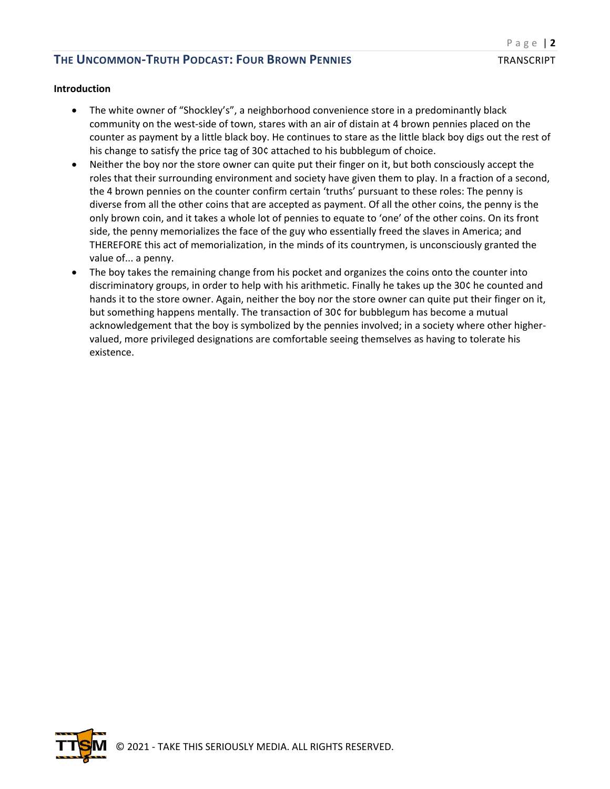#### **Introduction**

- The white owner of "Shockley's", a neighborhood convenience store in a predominantly black community on the west-side of town, stares with an air of distain at 4 brown pennies placed on the counter as payment by a little black boy. He continues to stare as the little black boy digs out the rest of his change to satisfy the price tag of 30¢ attached to his bubblegum of choice.
- Neither the boy nor the store owner can quite put their finger on it, but both consciously accept the roles that their surrounding environment and society have given them to play. In a fraction of a second, the 4 brown pennies on the counter confirm certain 'truths' pursuant to these roles: The penny is diverse from all the other coins that are accepted as payment. Of all the other coins, the penny is the only brown coin, and it takes a whole lot of pennies to equate to 'one' of the other coins. On its front side, the penny memorializes the face of the guy who essentially freed the slaves in America; and THEREFORE this act of memorialization, in the minds of its countrymen, is unconsciously granted the value of... a penny.
- The boy takes the remaining change from his pocket and organizes the coins onto the counter into discriminatory groups, in order to help with his arithmetic. Finally he takes up the 30¢ he counted and hands it to the store owner. Again, neither the boy nor the store owner can quite put their finger on it, but something happens mentally. The transaction of 30¢ for bubblegum has become a mutual acknowledgement that the boy is symbolized by the pennies involved; in a society where other highervalued, more privileged designations are comfortable seeing themselves as having to tolerate his existence.

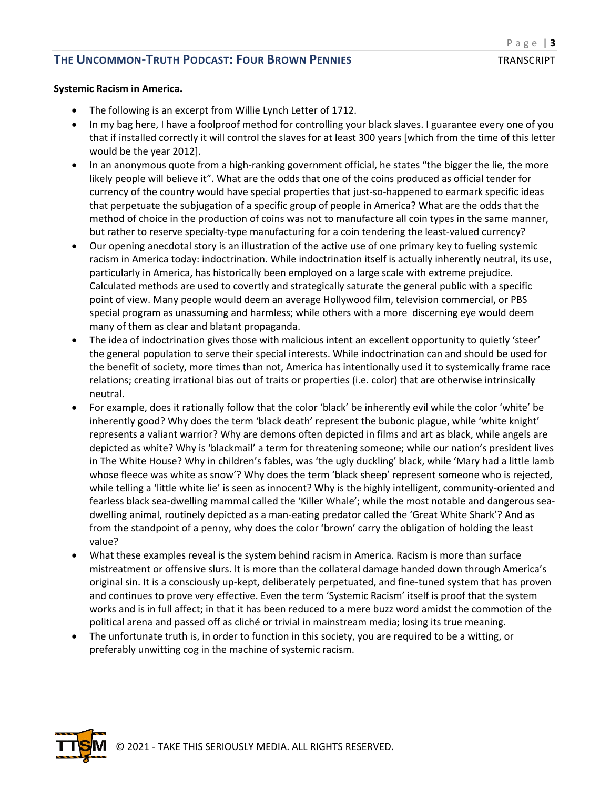#### **Systemic Racism in America.**

- The following is an excerpt from Willie Lynch Letter of 1712.
- In my bag here, I have a foolproof method for controlling your black slaves. I guarantee every one of you that if installed correctly it will control the slaves for at least 300 years [which from the time of this letter would be the year 2012].
- In an anonymous quote from a high-ranking government official, he states "the bigger the lie, the more likely people will believe it". What are the odds that one of the coins produced as official tender for currency of the country would have special properties that just-so-happened to earmark specific ideas that perpetuate the subjugation of a specific group of people in America? What are the odds that the method of choice in the production of coins was not to manufacture all coin types in the same manner, but rather to reserve specialty-type manufacturing for a coin tendering the least-valued currency?
- Our opening anecdotal story is an illustration of the active use of one primary key to fueling systemic racism in America today: indoctrination. While indoctrination itself is actually inherently neutral, its use, particularly in America, has historically been employed on a large scale with extreme prejudice. Calculated methods are used to covertly and strategically saturate the general public with a specific point of view. Many people would deem an average Hollywood film, television commercial, or PBS special program as unassuming and harmless; while others with a more discerning eye would deem many of them as clear and blatant propaganda.
- The idea of indoctrination gives those with malicious intent an excellent opportunity to quietly 'steer' the general population to serve their special interests. While indoctrination can and should be used for the benefit of society, more times than not, America has intentionally used it to systemically frame race relations; creating irrational bias out of traits or properties (i.e. color) that are otherwise intrinsically neutral.
- For example, does it rationally follow that the color 'black' be inherently evil while the color 'white' be inherently good? Why does the term 'black death' represent the bubonic plague, while 'white knight' represents a valiant warrior? Why are demons often depicted in films and art as black, while angels are depicted as white? Why is 'blackmail' a term for threatening someone; while our nation's president lives in The White House? Why in children's fables, was 'the ugly duckling' black, while 'Mary had a little lamb whose fleece was white as snow'? Why does the term 'black sheep' represent someone who is rejected, while telling a 'little white lie' is seen as innocent? Why is the highly intelligent, community-oriented and fearless black sea-dwelling mammal called the 'Killer Whale'; while the most notable and dangerous seadwelling animal, routinely depicted as a man-eating predator called the 'Great White Shark'? And as from the standpoint of a penny, why does the color 'brown' carry the obligation of holding the least value?
- What these examples reveal is the system behind racism in America. Racism is more than surface mistreatment or offensive slurs. It is more than the collateral damage handed down through America's original sin. It is a consciously up-kept, deliberately perpetuated, and fine-tuned system that has proven and continues to prove very effective. Even the term 'Systemic Racism' itself is proof that the system works and is in full affect; in that it has been reduced to a mere buzz word amidst the commotion of the political arena and passed off as cliché or trivial in mainstream media; losing its true meaning.
- The unfortunate truth is, in order to function in this society, you are required to be a witting, or preferably unwitting cog in the machine of systemic racism.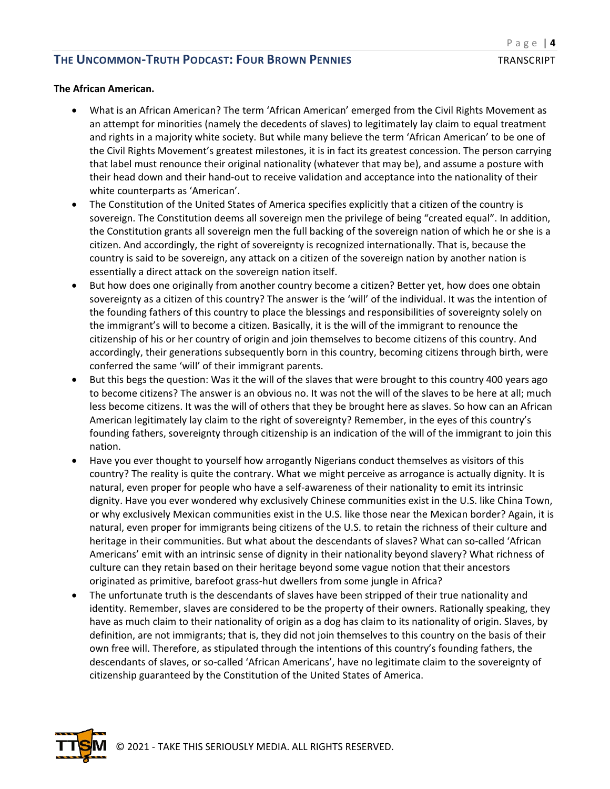#### **The African American.**

- What is an African American? The term 'African American' emerged from the Civil Rights Movement as an attempt for minorities (namely the decedents of slaves) to legitimately lay claim to equal treatment and rights in a majority white society. But while many believe the term 'African American' to be one of the Civil Rights Movement's greatest milestones, it is in fact its greatest concession. The person carrying that label must renounce their original nationality (whatever that may be), and assume a posture with their head down and their hand-out to receive validation and acceptance into the nationality of their white counterparts as 'American'.
- The Constitution of the United States of America specifies explicitly that a citizen of the country is sovereign. The Constitution deems all sovereign men the privilege of being "created equal". In addition, the Constitution grants all sovereign men the full backing of the sovereign nation of which he or she is a citizen. And accordingly, the right of sovereignty is recognized internationally. That is, because the country is said to be sovereign, any attack on a citizen of the sovereign nation by another nation is essentially a direct attack on the sovereign nation itself.
- But how does one originally from another country become a citizen? Better yet, how does one obtain sovereignty as a citizen of this country? The answer is the 'will' of the individual. It was the intention of the founding fathers of this country to place the blessings and responsibilities of sovereignty solely on the immigrant's will to become a citizen. Basically, it is the will of the immigrant to renounce the citizenship of his or her country of origin and join themselves to become citizens of this country. And accordingly, their generations subsequently born in this country, becoming citizens through birth, were conferred the same 'will' of their immigrant parents.
- But this begs the question: Was it the will of the slaves that were brought to this country 400 years ago to become citizens? The answer is an obvious no. It was not the will of the slaves to be here at all; much less become citizens. It was the will of others that they be brought here as slaves. So how can an African American legitimately lay claim to the right of sovereignty? Remember, in the eyes of this country's founding fathers, sovereignty through citizenship is an indication of the will of the immigrant to join this nation.
- Have you ever thought to yourself how arrogantly Nigerians conduct themselves as visitors of this country? The reality is quite the contrary. What we might perceive as arrogance is actually dignity. It is natural, even proper for people who have a self-awareness of their nationality to emit its intrinsic dignity. Have you ever wondered why exclusively Chinese communities exist in the U.S. like China Town, or why exclusively Mexican communities exist in the U.S. like those near the Mexican border? Again, it is natural, even proper for immigrants being citizens of the U.S. to retain the richness of their culture and heritage in their communities. But what about the descendants of slaves? What can so-called 'African Americans' emit with an intrinsic sense of dignity in their nationality beyond slavery? What richness of culture can they retain based on their heritage beyond some vague notion that their ancestors originated as primitive, barefoot grass-hut dwellers from some jungle in Africa?
- The unfortunate truth is the descendants of slaves have been stripped of their true nationality and identity. Remember, slaves are considered to be the property of their owners. Rationally speaking, they have as much claim to their nationality of origin as a dog has claim to its nationality of origin. Slaves, by definition, are not immigrants; that is, they did not join themselves to this country on the basis of their own free will. Therefore, as stipulated through the intentions of this country's founding fathers, the descendants of slaves, or so-called 'African Americans', have no legitimate claim to the sovereignty of citizenship guaranteed by the Constitution of the United States of America.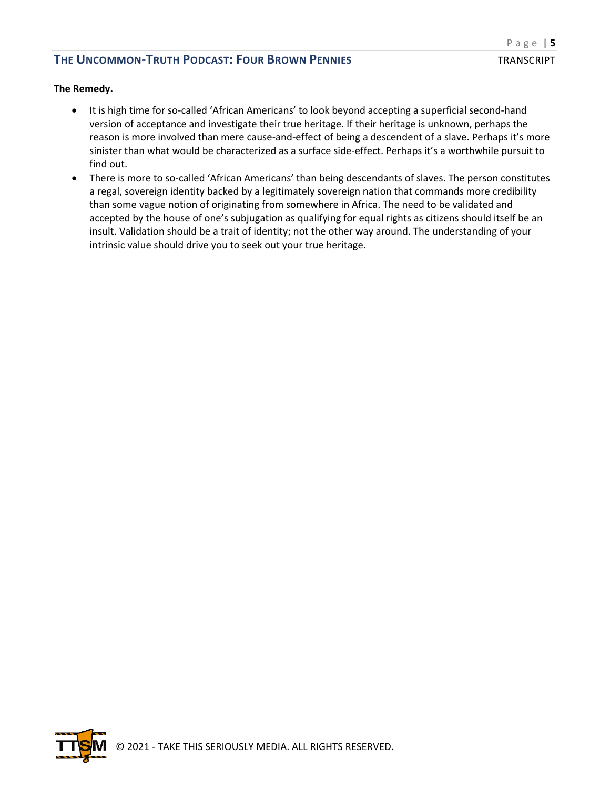#### **The Remedy.**

- It is high time for so-called 'African Americans' to look beyond accepting a superficial second-hand version of acceptance and investigate their true heritage. If their heritage is unknown, perhaps the reason is more involved than mere cause-and-effect of being a descendent of a slave. Perhaps it's more sinister than what would be characterized as a surface side-effect. Perhaps it's a worthwhile pursuit to find out.
- There is more to so-called 'African Americans' than being descendants of slaves. The person constitutes a regal, sovereign identity backed by a legitimately sovereign nation that commands more credibility than some vague notion of originating from somewhere in Africa. The need to be validated and accepted by the house of one's subjugation as qualifying for equal rights as citizens should itself be an insult. Validation should be a trait of identity; not the other way around. The understanding of your intrinsic value should drive you to seek out your true heritage.